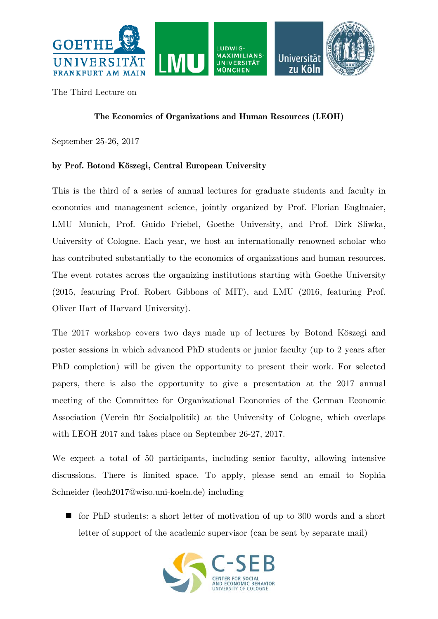

The Third Lecture on

## **The Economics of Organizations and Human Resources (LEOH)**

September 25-26, 2017

## **by Prof. Botond Köszegi, Central European University**

This is the third of a series of annual lectures for graduate students and faculty in economics and management science, jointly organized by Prof. Florian Englmaier, LMU Munich, Prof. Guido Friebel, Goethe University, and Prof. Dirk Sliwka, University of Cologne. Each year, we host an internationally renowned scholar who has contributed substantially to the economics of organizations and human resources. The event rotates across the organizing institutions starting with Goethe University (2015, featuring Prof. Robert Gibbons of MIT), and LMU (2016, featuring Prof. Oliver Hart of Harvard University).

The 2017 workshop covers two days made up of lectures by Botond Köszegi and poster sessions in which advanced PhD students or junior faculty (up to 2 years after PhD completion) will be given the opportunity to present their work. For selected papers, there is also the opportunity to give a presentation at the 2017 annual meeting of the Committee for Organizational Economics of the German Economic Association (Verein für Socialpolitik) at the University of Cologne, which overlaps with LEOH 2017 and takes place on September 26-27, 2017.

We expect a total of 50 participants, including senior faculty, allowing intensive discussions. There is limited space. To apply, please send an email to Sophia Schneider (leoh2017@wiso.uni-koeln.de) including

 for PhD students: a short letter of motivation of up to 300 words and a short letter of support of the academic supervisor (can be sent by separate mail)

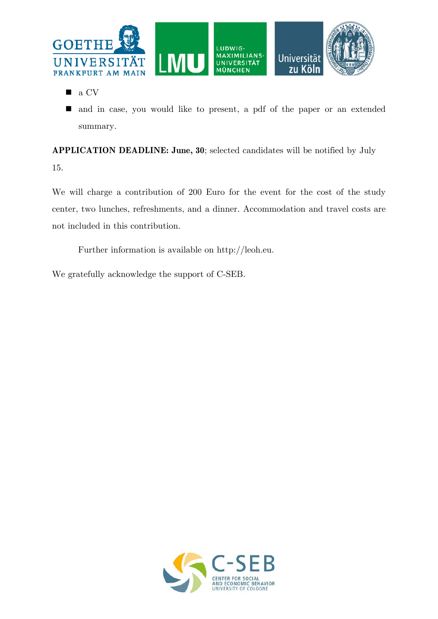

- **a** CV
- and in case, you would like to present, a pdf of the paper or an extended summary.

**APPLICATION DEADLINE: June, 30**; selected candidates will be notified by July 15.

We will charge a contribution of 200 Euro for the event for the cost of the study center, two lunches, refreshments, and a dinner. Accommodation and travel costs are not included in this contribution.

Further information is available on http://leoh.eu.

We gratefully acknowledge the support of C-SEB.

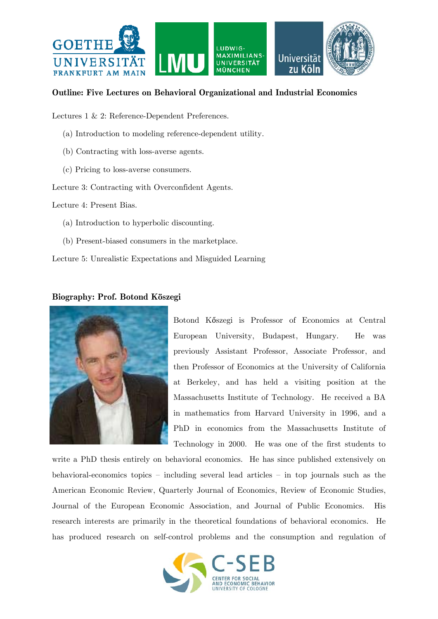

## **Outline: Five Lectures on Behavioral Organizational and Industrial Economics**

Lectures 1 & 2: Reference-Dependent Preferences.

- (a) Introduction to modeling reference-dependent utility.
- (b) Contracting with loss-averse agents.
- (c) Pricing to loss-averse consumers.

Lecture 3: Contracting with Overconfident Agents.

Lecture 4: Present Bias.

- (a) Introduction to hyperbolic discounting.
- (b) Present-biased consumers in the marketplace.

Lecture 5: Unrealistic Expectations and Misguided Learning

## **Biography: Prof. Botond Köszegi**



Botond Kőszegi is Professor of Economics at Central European University, Budapest, Hungary. He was previously Assistant Professor, Associate Professor, and then Professor of Economics at the University of California at Berkeley, and has held a visiting position at the Massachusetts Institute of Technology. He received a BA in mathematics from Harvard University in 1996, and a PhD in economics from the Massachusetts Institute of Technology in 2000. He was one of the first students to

write a PhD thesis entirely on behavioral economics. He has since published extensively on behavioral-economics topics – including several lead articles – in top journals such as the American Economic Review, Quarterly Journal of Economics, Review of Economic Studies, Journal of the European Economic Association, and Journal of Public Economics. His research interests are primarily in the theoretical foundations of behavioral economics. He has produced research on self-control problems and the consumption and regulation of